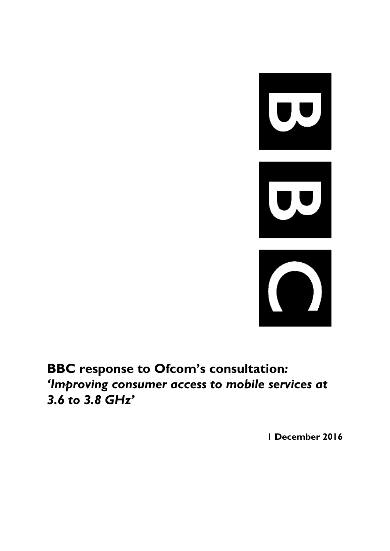

# **BBC response to Ofcom's consultation***: 'Improving consumer access to mobile services at 3.6 to 3.8 GHz'*

**1 December 2016**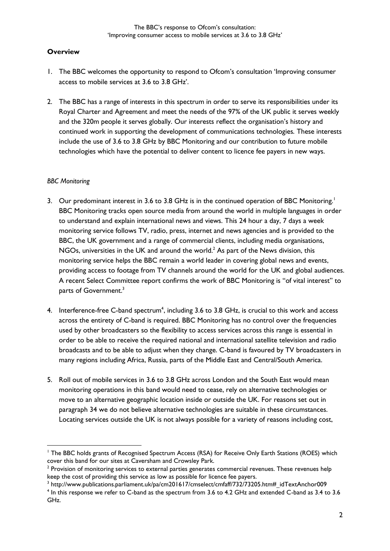## **Overview**

- 1. The BBC welcomes the opportunity to respond to Ofcom's consultation 'Improving consumer access to mobile services at 3.6 to 3.8 GHz'.
- 2. The BBC has a range of interests in this spectrum in order to serve its responsibilities under its Royal Charter and Agreement and meet the needs of the 97% of the UK public it serves weekly and the 320m people it serves globally. Our interests reflect the organisation's history and continued work in supporting the development of communications technologies. These interests include the use of 3.6 to 3.8 GHz by BBC Monitoring and our contribution to future mobile technologies which have the potential to deliver content to licence fee payers in new ways.

#### *BBC Monitoring*

- 3. Our predominant interest in 3.6 to 3.8 GHz is in the continued operation of BBC Monitoring.<sup>1</sup> BBC Monitoring tracks open source media from around the world in multiple languages in order to understand and explain international news and views. This 24 hour a day, 7 days a week monitoring service follows TV, radio, press, internet and news agencies and is provided to the BBC, the UK government and a range of commercial clients, including media organisations, NGOs, universities in the UK and around the world.<sup>2</sup> As part of the News division, this monitoring service helps the BBC remain a world leader in covering global news and events, providing access to footage from TV channels around the world for the UK and global audiences. A recent Select Committee report confirms the work of BBC Monitoring is "of vital interest" to parts of Government.<sup>3</sup>
- 4. Interference-free C-band spectrum<sup>4</sup>, including 3.6 to 3.8 GHz, is crucial to this work and access across the entirety of C-band is required. BBC Monitoring has no control over the frequencies used by other broadcasters so the flexibility to access services across this range is essential in order to be able to receive the required national and international satellite television and radio broadcasts and to be able to adjust when they change. C-band is favoured by TV broadcasters in many regions including Africa, Russia, parts of the Middle East and Central/South America.
- 5. Roll out of mobile services in 3.6 to 3.8 GHz across London and the South East would mean monitoring operations in this band would need to cease, rely on alternative technologies or move to an alternative geographic location inside or outside the UK. For reasons set out in paragraph 34 we do not believe alternative technologies are suitable in these circumstances. Locating services outside the UK is not always possible for a variety of reasons including cost,

<sup>&</sup>lt;sup>1</sup> The BBC holds grants of Recognised Spectrum Access (RSA) for Receive Only Earth Stations (ROES) which cover this band for our sites at Caversham and Crowsley Park.

 $2$  Provision of monitoring services to external parties generates commercial revenues. These revenues help keep the cost of providing this service as low as possible for licence fee payers.

 $^3$  http://www.publications.parliament.uk/pa/cm201617/cmselect/cmfaff/732/73205.htm#\_idTextAnchor009  $<sup>4</sup>$  In this response we refer to C-band as the spectrum from 3.6 to 4.2 GHz and extended C-band as 3.4 to 3.6</sup> GHz.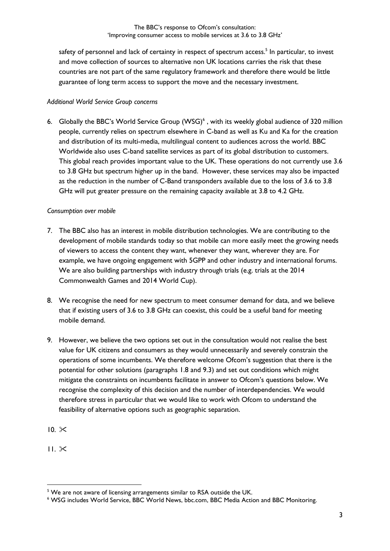safety of personnel and lack of certainty in respect of spectrum access.<sup>5</sup> In particular, to invest and move collection of sources to alternative non UK locations carries the risk that these countries are not part of the same regulatory framework and therefore there would be little guarantee of long term access to support the move and the necessary investment.

## *Additional World Service Group concerns*

6. Globally the BBC's World Service Group (WSG)<sup>6</sup>, with its weekly global audience of 320 million people, currently relies on spectrum elsewhere in C-band as well as Ku and Ka for the creation and distribution of its multi-media, multilingual content to audiences across the world. BBC Worldwide also uses C-band satellite services as part of its global distribution to customers. This global reach provides important value to the UK. These operations do not currently use 3.6 to 3.8 GHz but spectrum higher up in the band. However, these services may also be impacted as the reduction in the number of C-Band transponders available due to the loss of 3.6 to 3.8 GHz will put greater pressure on the remaining capacity available at 3.8 to 4.2 GHz.

## *Consumption over mobile*

- 7. The BBC also has an interest in mobile distribution technologies. We are contributing to the development of mobile standards today so that mobile can more easily meet the growing needs of viewers to access the content they want, whenever they want, wherever they are. For example, we have ongoing engagement with 5GPP and other industry and international forums. We are also building partnerships with industry through trials (e.g. trials at the 2014 Commonwealth Games and 2014 World Cup).
- 8. We recognise the need for new spectrum to meet consumer demand for data, and we believe that if existing users of 3.6 to 3.8 GHz can coexist, this could be a useful band for meeting mobile demand.
- 9. However, we believe the two options set out in the consultation would not realise the best value for UK citizens and consumers as they would unnecessarily and severely constrain the operations of some incumbents. We therefore welcome Ofcom's suggestion that there is the potential for other solutions (paragraphs 1.8 and 9.3) and set out conditions which might mitigate the constraints on incumbents facilitate in answer to Ofcom's questions below. We recognise the complexity of this decision and the number of interdependencies. We would therefore stress in particular that we would like to work with Ofcom to understand the feasibility of alternative options such as geographic separation.
- $10.85$
- $11 \times$

<sup>&</sup>lt;sup>5</sup> We are not aware of licensing arrangements similar to RSA outside the UK.

<sup>&</sup>lt;sup>6</sup> WSG includes World Service, BBC World News, bbc.com, BBC Media Action and BBC Monitoring.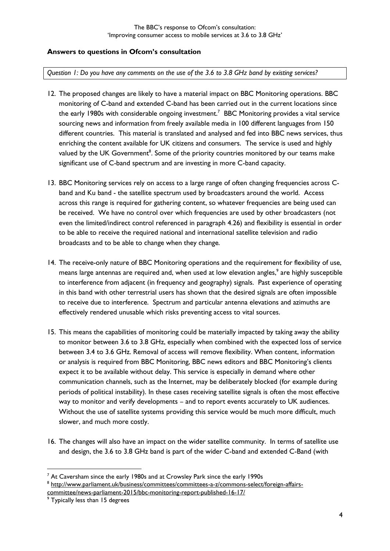## **Answers to questions in Ofcom's consultation**

*Question 1: Do you have any comments on the use of the 3.6 to 3.8 GHz band by existing services?*

- 12. The proposed changes are likely to have a material impact on BBC Monitoring operations. BBC monitoring of C-band and extended C-band has been carried out in the current locations since the early 1980s with considerable ongoing investment.<sup>7</sup> BBC Monitoring provides a vital service sourcing news and information from freely available media in 100 different languages from 150 different countries. This material is translated and analysed and fed into BBC news services, thus enriching the content available for UK citizens and consumers. The service is used and highly valued by the UK Government<sup>8</sup>. Some of the priority countries monitored by our teams make significant use of C-band spectrum and are investing in more C-band capacity.
- 13. BBC Monitoring services rely on access to a large range of often changing frequencies across Cband and Ku band - the satellite spectrum used by broadcasters around the world. Access across this range is required for gathering content, so whatever frequencies are being used can be received. We have no control over which frequencies are used by other broadcasters (not even the limited/indirect control referenced in paragraph 4.26) and flexibility is essential in order to be able to receive the required national and international satellite television and radio broadcasts and to be able to change when they change.
- 14. The receive-only nature of BBC Monitoring operations and the requirement for flexibility of use, means large antennas are required and, when used at low elevation angles,<sup>9</sup> are highly susceptible to interference from adjacent (in frequency and geography) signals. Past experience of operating in this band with other terrestrial users has shown that the desired signals are often impossible to receive due to interference. Spectrum and particular antenna elevations and azimuths are effectively rendered unusable which risks preventing access to vital sources.
- 15. This means the capabilities of monitoring could be materially impacted by taking away the ability to monitor between 3.6 to 3.8 GHz, especially when combined with the expected loss of service between 3.4 to 3.6 GHz. Removal of access will remove flexibility. When content, information or analysis is required from BBC Monitoring, BBC news editors and BBC Monitoring's clients expect it to be available without delay. This service is especially in demand where other communication channels, such as the Internet, may be deliberately blocked (for example during periods of political instability). In these cases receiving satellite signals is often the most effective way to monitor and verify developments – and to report events accurately to UK audiences. Without the use of satellite systems providing this service would be much more difficult, much slower, and much more costly.
- 16. The changes will also have an impact on the wider satellite community. In terms of satellite use and design, the 3.6 to 3.8 GHz band is part of the wider C-band and extended C-Band (with

 $7$  At Caversham since the early 1980s and at Crowsley Park since the early 1990s

<sup>&</sup>lt;sup>8</sup> [http://www.parliament.uk/business/committees/committees-a-z/commons-select/foreign-affairs](http://www.parliament.uk/business/committees/committees-a-z/commons-select/foreign-affairs-committee/news-parliament-2015/bbc-monitoring-report-published-16-17/)[committee/news-parliament-2015/bbc-monitoring-report-published-16-17/](http://www.parliament.uk/business/committees/committees-a-z/commons-select/foreign-affairs-committee/news-parliament-2015/bbc-monitoring-report-published-16-17/)

<sup>&</sup>lt;sup>9</sup> Typically less than 15 degrees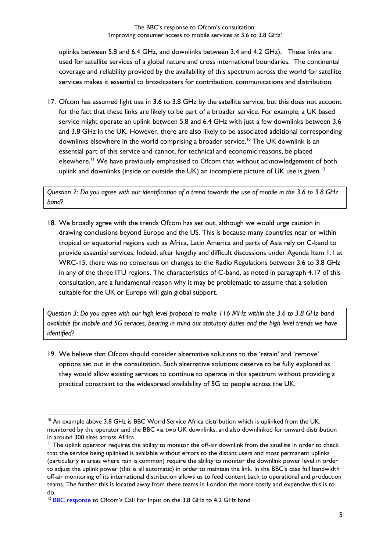uplinks between 5.8 and 6.4 GHz, and downlinks between 3.4 and 4.2 GHz). These links are used for satellite services of a global nature and cross international boundaries. The continental coverage and reliability provided by the availability of this spectrum across the world for satellite services makes it essential to broadcasters for contribution, communications and distribution.

17. Ofcom has assumed light use in 3.6 to 3.8 GHz by the satellite service, but this does not account for the fact that these links are likely to be part of a broader service. For example, a UK based service might operate an uplink between 5.8 and 6.4 GHz with just a few downlinks between 3.6 and 3.8 GHz in the UK. However, there are also likely to be associated additional corresponding downlinks elsewhere in the world comprising a broader service.<sup>10</sup> The UK downlink is an essential part of this service and cannot, for technical and economic reasons, be placed elsewhere.<sup>11</sup> We have previously emphasised to Ofcom that without acknowledgement of both uplink and downlinks (inside or outside the UK) an incomplete picture of UK use is given.<sup>12</sup>

*Question 2: Do you agree with our identification of a trend towards the use of mobile in the 3.6 to 3.8 GHz band?*

18. We broadly agree with the trends Ofcom has set out, although we would urge caution in drawing conclusions beyond Europe and the US. This is because many countries near or within tropical or equatorial regions such as Africa, Latin America and parts of Asia rely on C-band to provide essential services. Indeed, after lengthy and difficult discussions under Agenda Item 1.1 at WRC-15, there was no consensus on changes to the Radio Regulations between 3.6 to 3.8 GHz in any of the three ITU regions. The characteristics of C-band, as noted in paragraph 4.17 of this consultation, are a fundamental reason why it may be problematic to assume that a solution suitable for the UK or Europe will gain global support.

*Question 3: Do you agree with our high level proposal to make 116 MHz within the 3.6 to 3.8 GHz band available for mobile and 5G services, bearing in mind our statutory duties and the high level trends we have identified?*

19. We believe that Ofcom should consider alternative solutions to the 'retain' and 'remove' options set out in the consultation. Such alternative solutions deserve to be fully explored as they would allow existing services to continue to operate in this spectrum without providing a practical constraint to the widespread availability of 5G to people across the UK.

 $10$  An example above 3.8 GHz is BBC World Service Africa distribution which is uplinked from the UK, monitored by the operator and the BBC via two UK downlinks, and also downlinked for onward distribution in around 300 sites across Africa.

 $<sup>11</sup>$  The uplink operator requires the ability to monitor the off-air downlink from the satellite in order to check</sup> that the service being uplinked is available without errors to the distant users and most permanent uplinks (particularly in areas where rain is common) require the ability to monitor the downlink power level in order to adjust the uplink power (this is all automatic) in order to maintain the link. In the BBC's case full bandwidth off-air monitoring of its international distribution allows us to feed content back to operational and production teams. The further this is located away from these teams in London the more costly and expensive this is to do.

<sup>&</sup>lt;sup>12</sup> [BBC response](https://www.ofcom.org.uk/__data/assets/pdf_file/0026/78308/bbc.pdf.pdf) to Ofcom's Call For Input on the 3.8 GHz to 4.2 GHz band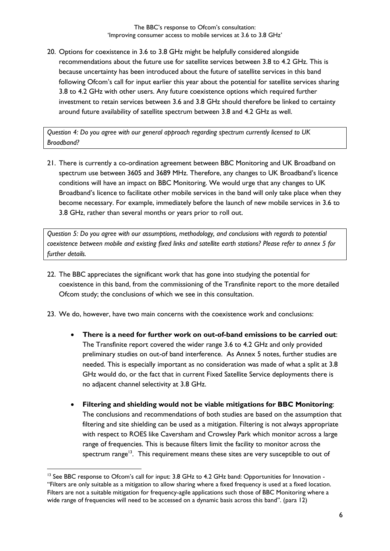20. Options for coexistence in 3.6 to 3.8 GHz might be helpfully considered alongside recommendations about the future use for satellite services between 3.8 to 4.2 GHz. This is because uncertainty has been introduced about the future of satellite services in this band following Ofcom's call for input earlier this year about the potential for satellite services sharing 3.8 to 4.2 GHz with other users. Any future coexistence options which required further investment to retain services between 3.6 and 3.8 GHz should therefore be linked to certainty around future availability of satellite spectrum between 3.8 and 4.2 GHz as well.

*Question 4: Do you agree with our general approach regarding spectrum currently licensed to UK Broadband?*

21. There is currently a co-ordination agreement between BBC Monitoring and UK Broadband on spectrum use between 3605 and 3689 MHz. Therefore, any changes to UK Broadband's licence conditions will have an impact on BBC Monitoring. We would urge that any changes to UK Broadband's licence to facilitate other mobile services in the band will only take place when they become necessary. For example, immediately before the launch of new mobile services in 3.6 to 3.8 GHz, rather than several months or years prior to roll out.

*Question 5: Do you agree with our assumptions, methodology, and conclusions with regards to potential coexistence between mobile and existing fixed links and satellite earth stations? Please refer to annex 5 for further details.*

- 22. The BBC appreciates the significant work that has gone into studying the potential for coexistence in this band, from the commissioning of the Transfinite report to the more detailed Ofcom study; the conclusions of which we see in this consultation.
- 23. We do, however, have two main concerns with the coexistence work and conclusions:
	- **There is a need for further work on out-of-band emissions to be carried out**: The Transfinite report covered the wider range 3.6 to 4.2 GHz and only provided preliminary studies on out-of band interference. As Annex 5 notes, further studies are needed. This is especially important as no consideration was made of what a split at 3.8 GHz would do, or the fact that in current Fixed Satellite Service deployments there is no adjacent channel selectivity at 3.8 GHz.
	- **Filtering and shielding would not be viable mitigations for BBC Monitoring**: The conclusions and recommendations of both studies are based on the assumption that filtering and site shielding can be used as a mitigation. Filtering is not always appropriate with respect to ROES like Caversham and Crowsley Park which monitor across a large range of frequencies. This is because filters limit the facility to monitor across the spectrum range<sup>13</sup>. This requirement means these sites are very susceptible to out of

<sup>&</sup>lt;sup>13</sup> See BBC response to Ofcom's call for input: 3.8 GHz to 4.2 GHz band: Opportunities for Innovation -"Filters are only suitable as a mitigation to allow sharing where a fixed frequency is used at a fixed location. Filters are not a suitable mitigation for frequency-agile applications such those of BBC Monitoring where a wide range of frequencies will need to be accessed on a dynamic basis across this band". (para 12)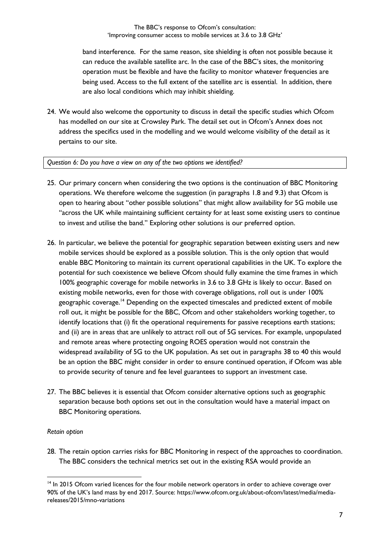band interference. For the same reason, site shielding is often not possible because it can reduce the available satellite arc. In the case of the BBC's sites, the monitoring operation must be flexible and have the facility to monitor whatever frequencies are being used. Access to the full extent of the satellite arc is essential. In addition, there are also local conditions which may inhibit shielding.

24. We would also welcome the opportunity to discuss in detail the specific studies which Ofcom has modelled on our site at Crowsley Park. The detail set out in Ofcom's Annex does not address the specifics used in the modelling and we would welcome visibility of the detail as it pertains to our site.

#### *Question 6: Do you have a view on any of the two options we identified?*

- 25. Our primary concern when considering the two options is the continuation of BBC Monitoring operations. We therefore welcome the suggestion (in paragraphs 1.8 and 9.3) that Ofcom is open to hearing about "other possible solutions" that might allow availability for 5G mobile use "across the UK while maintaining sufficient certainty for at least some existing users to continue to invest and utilise the band." Exploring other solutions is our preferred option.
- 26. In particular, we believe the potential for geographic separation between existing users and new mobile services should be explored as a possible solution. This is the only option that would enable BBC Monitoring to maintain its current operational capabilities in the UK. To explore the potential for such coexistence we believe Ofcom should fully examine the time frames in which 100% geographic coverage for mobile networks in 3.6 to 3.8 GHz is likely to occur. Based on existing mobile networks, even for those with coverage obligations, roll out is under 100% geographic coverage.<sup>14</sup> Depending on the expected timescales and predicted extent of mobile roll out, it might be possible for the BBC, Ofcom and other stakeholders working together, to identify locations that (i) fit the operational requirements for passive receptions earth stations; and (ii) are in areas that are unlikely to attract roll out of 5G services. For example, unpopulated and remote areas where protecting ongoing ROES operation would not constrain the widespread availability of 5G to the UK population. As set out in paragraphs 38 to 40 this would be an option the BBC might consider in order to ensure continued operation, if Ofcom was able to provide security of tenure and fee level guarantees to support an investment case.
- 27. The BBC believes it is essential that Ofcom consider alternative options such as geographic separation because both options set out in the consultation would have a material impact on BBC Monitoring operations.

#### *Retain option*

-

28. The retain option carries risks for BBC Monitoring in respect of the approaches to coordination. The BBC considers the technical metrics set out in the existing RSA would provide an

<sup>&</sup>lt;sup>14</sup> In 2015 Ofcom varied licences for the four mobile network operators in order to achieve coverage over 90% of the UK's land mass by end 2017. Source: https://www.ofcom.org.uk/about-ofcom/latest/media/mediareleases/2015/mno-variations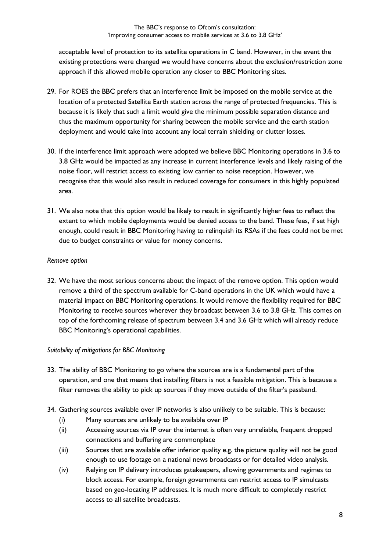acceptable level of protection to its satellite operations in C band. However, in the event the existing protections were changed we would have concerns about the exclusion/restriction zone approach if this allowed mobile operation any closer to BBC Monitoring sites.

- 29. For ROES the BBC prefers that an interference limit be imposed on the mobile service at the location of a protected Satellite Earth station across the range of protected frequencies. This is because it is likely that such a limit would give the minimum possible separation distance and thus the maximum opportunity for sharing between the mobile service and the earth station deployment and would take into account any local terrain shielding or clutter losses.
- 30. If the interference limit approach were adopted we believe BBC Monitoring operations in 3.6 to 3.8 GHz would be impacted as any increase in current interference levels and likely raising of the noise floor, will restrict access to existing low carrier to noise reception. However, we recognise that this would also result in reduced coverage for consumers in this highly populated area.
- 31. We also note that this option would be likely to result in significantly higher fees to reflect the extent to which mobile deployments would be denied access to the band. These fees, if set high enough, could result in BBC Monitoring having to relinquish its RSAs if the fees could not be met due to budget constraints or value for money concerns.

#### *Remove option*

32. We have the most serious concerns about the impact of the remove option. This option would remove a third of the spectrum available for C-band operations in the UK which would have a material impact on BBC Monitoring operations. It would remove the flexibility required for BBC Monitoring to receive sources wherever they broadcast between 3.6 to 3.8 GHz. This comes on top of the forthcoming release of spectrum between 3.4 and 3.6 GHz which will already reduce BBC Monitoring's operational capabilities.

#### *Suitability of mitigations for BBC Monitoring*

- 33. The ability of BBC Monitoring to go where the sources are is a fundamental part of the operation, and one that means that installing filters is not a feasible mitigation. This is because a filter removes the ability to pick up sources if they move outside of the filter's passband.
- 34. Gathering sources available over IP networks is also unlikely to be suitable. This is because:
	- (i) Many sources are unlikely to be available over IP
	- (ii) Accessing sources via IP over the internet is often very unreliable, frequent dropped connections and buffering are commonplace
	- (iii) Sources that are available offer inferior quality e.g. the picture quality will not be good enough to use footage on a national news broadcasts or for detailed video analysis.
	- (iv) Relying on IP delivery introduces gatekeepers, allowing governments and regimes to block access. For example, foreign governments can restrict access to IP simulcasts based on geo-locating IP addresses. It is much more difficult to completely restrict access to all satellite broadcasts.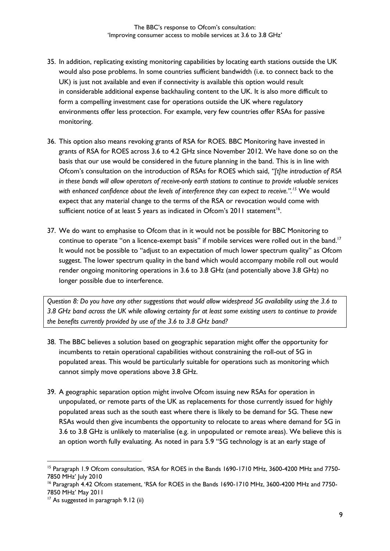- 35. In addition, replicating existing monitoring capabilities by locating earth stations outside the UK would also pose problems. In some countries sufficient bandwidth (i.e. to connect back to the UK) is just not available and even if connectivity is available this option would result in considerable additional expense backhauling content to the UK. It is also more difficult to form a compelling investment case for operations outside the UK where regulatory environments offer less protection. For example, very few countries offer RSAs for passive monitoring.
- 36. This option also means revoking grants of RSA for ROES. BBC Monitoring have invested in grants of RSA for ROES across 3.6 to 4.2 GHz since November 2012. We have done so on the basis that our use would be considered in the future planning in the band. This is in line with Ofcom's consultation on the introduction of RSAs for ROES which said, *"[t]he introduction of RSA in these bands will allow operators of receive-only earth stations to continue to provide valuable services with enhanced confidence about the levels of interference they can expect to receive.".<sup>15</sup>* We would expect that any material change to the terms of the RSA or revocation would come with sufficient notice of at least 5 years as indicated in Ofcom's  $2011$  statement<sup>16</sup>.
- 37. We do want to emphasise to Ofcom that in it would not be possible for BBC Monitoring to continue to operate "on a licence-exempt basis" if mobile services were rolled out in the band.<sup>17</sup> It would not be possible to "adjust to an expectation of much lower spectrum quality" as Ofcom suggest. The lower spectrum quality in the band which would accompany mobile roll out would render ongoing monitoring operations in 3.6 to 3.8 GHz (and potentially above 3.8 GHz) no longer possible due to interference.

*Question 8: Do you have any other suggestions that would allow widespread 5G availability using the 3.6 to 3.8 GHz band across the UK while allowing certainty for at least some existing users to continue to provide the benefits currently provided by use of the 3.6 to 3.8 GHz band?*

- 38. The BBC believes a solution based on geographic separation might offer the opportunity for incumbents to retain operational capabilities without constraining the roll-out of 5G in populated areas. This would be particularly suitable for operations such as monitoring which cannot simply move operations above 3.8 GHz.
- 39. A geographic separation option might involve Ofcom issuing new RSAs for operation in unpopulated, or remote parts of the UK as replacements for those currently issued for highly populated areas such as the south east where there is likely to be demand for 5G. These new RSAs would then give incumbents the opportunity to relocate to areas where demand for 5G in 3.6 to 3.8 GHz is unlikely to materialise (e.g. in unpopulated or remote areas). We believe this is an option worth fully evaluating. As noted in para 5.9 "5G technology is at an early stage of

<sup>&</sup>lt;sup>15</sup> Paragraph 1.9 Ofcom consultation, 'RSA for ROES in the Bands 1690-1710 MHz, 3600-4200 MHz and 7750-7850 MHz' July 2010

<sup>&</sup>lt;sup>16</sup> Paragraph 4.42 Ofcom statement, 'RSA for ROES in the Bands 1690-1710 MHz, 3600-4200 MHz and 7750-7850 MHz' May 2011

<sup>&</sup>lt;sup>17</sup> As suggested in paragraph 9.12 (ii)